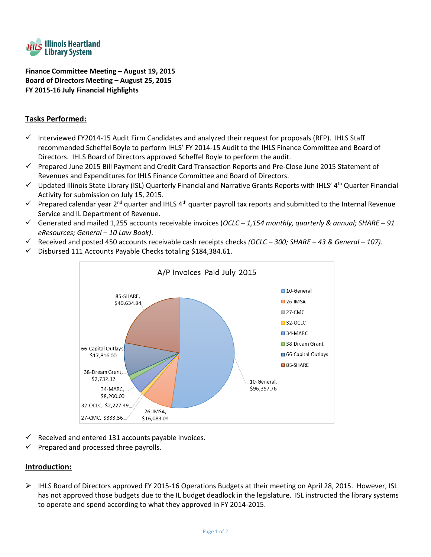

**Finance Committee Meeting – August 19, 2015 Board of Directors Meeting – August 25, 2015 FY 2015-16 July Financial Highlights**

# **Tasks Performed:**

- $\checkmark$  Interviewed FY2014-15 Audit Firm Candidates and analyzed their request for proposals (RFP). IHLS Staff recommended Scheffel Boyle to perform IHLS' FY 2014-15 Audit to the IHLS Finance Committee and Board of Directors. IHLS Board of Directors approved Scheffel Boyle to perform the audit.
- $\checkmark$  Prepared June 2015 Bill Payment and Credit Card Transaction Reports and Pre-Close June 2015 Statement of Revenues and Expenditures for IHLS Finance Committee and Board of Directors.
- $\checkmark$  Updated Illinois State Library (ISL) Quarterly Financial and Narrative Grants Reports with IHLS' 4<sup>th</sup> Quarter Financial Activity for submission on July 15, 2015.
- Prepared calendar year 2<sup>nd</sup> quarter and IHLS 4<sup>th</sup> quarter payroll tax reports and submitted to the Internal Revenue Service and IL Department of Revenue.
- Generated and mailed 1,255 accounts receivable invoices (*OCLC – 1,154 monthly, quarterly & annual; SHARE – 91 eResources; General – 10 Law Book)*.
- Received and posted 450 accounts receivable cash receipts checks *(OCLC – 300; SHARE – 43 & General – 107)*.
- $\checkmark$  Disbursed 111 Accounts Payable Checks totaling \$184,384.61.



- Received and entered 131 accounts payable invoices.
- Prepared and processed three payrolls.

### **Introduction:**

 $\triangleright$  IHLS Board of Directors approved FY 2015-16 Operations Budgets at their meeting on April 28, 2015. However, ISL has not approved those budgets due to the IL budget deadlock in the legislature. ISL instructed the library systems to operate and spend according to what they approved in FY 2014-2015.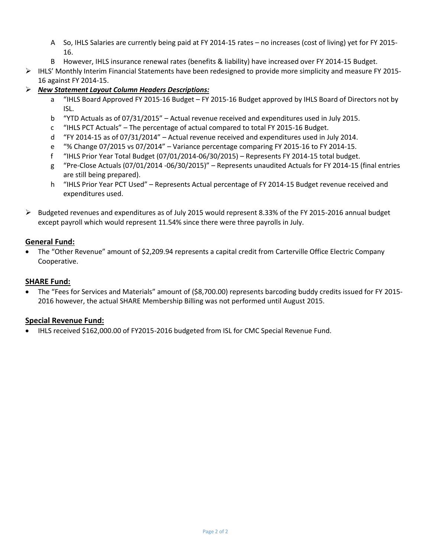- A So, IHLS Salaries are currently being paid at FY 2014-15 rates no increases (cost of living) yet for FY 2015- 16.
- B However, IHLS insurance renewal rates (benefits & liability) have increased over FY 2014-15 Budget.
- $\triangleright$  IHLS' Monthly Interim Financial Statements have been redesigned to provide more simplicity and measure FY 2015-16 against FY 2014-15.

## *New Statement Layout Column Headers Descriptions:*

- a "IHLS Board Approved FY 2015-16 Budget FY 2015-16 Budget approved by IHLS Board of Directors not by ISL.
- b "YTD Actuals as of 07/31/2015" Actual revenue received and expenditures used in July 2015.
- c "IHLS PCT Actuals" The percentage of actual compared to total FY 2015-16 Budget.
- d "FY 2014-15 as of 07/31/2014" Actual revenue received and expenditures used in July 2014.
- e "% Change 07/2015 vs 07/2014" Variance percentage comparing FY 2015-16 to FY 2014-15.
- f "IHLS Prior Year Total Budget (07/01/2014-06/30/2015) Represents FY 2014-15 total budget.
- g "Pre-Close Actuals (07/01/2014 -06/30/2015)" Represents unaudited Actuals for FY 2014-15 (final entries are still being prepared).
- h "IHLS Prior Year PCT Used" Represents Actual percentage of FY 2014-15 Budget revenue received and expenditures used.
- $\triangleright$  Budgeted revenues and expenditures as of July 2015 would represent 8.33% of the FY 2015-2016 annual budget except payroll which would represent 11.54% since there were three payrolls in July.

## **General Fund:**

 The "Other Revenue" amount of \$2,209.94 represents a capital credit from Carterville Office Electric Company Cooperative.

## **SHARE Fund:**

 The "Fees for Services and Materials" amount of (\$8,700.00) represents barcoding buddy credits issued for FY 2015- 2016 however, the actual SHARE Membership Billing was not performed until August 2015.

## **Special Revenue Fund:**

IHLS received \$162,000.00 of FY2015-2016 budgeted from ISL for CMC Special Revenue Fund.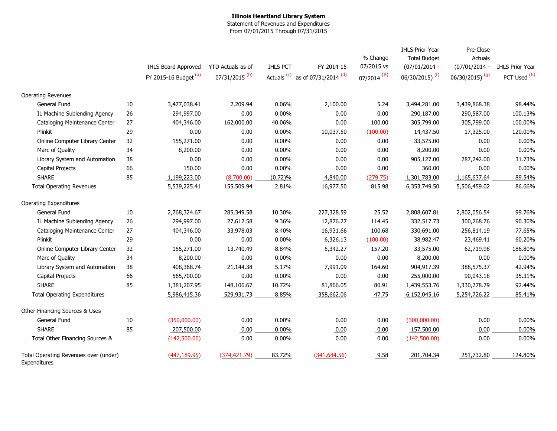#### **Illinois Heartland Library System** Statement of Revenues and Expenditures

From 07/01/2015 Through 07/31/2015

|                                                       |        |                            |                             |                        |                                 |                        | <b>IHLS Prior Year</b>     | Pre-Close                  |                        |
|-------------------------------------------------------|--------|----------------------------|-----------------------------|------------------------|---------------------------------|------------------------|----------------------------|----------------------------|------------------------|
|                                                       |        |                            |                             |                        |                                 | % Change               | <b>Total Budget</b>        | Actuals                    |                        |
|                                                       |        | <b>IHLS Board Approved</b> | YTD Actuals as of           | <b>IHLS PCT</b>        | FY 2014-15                      | 07/2015 vs             | $(07/01/2014 -$            | $(07/01/2014 -$            | <b>IHLS Prior Year</b> |
|                                                       |        | FY 2015-16 Budget (a)      | $07/31/2015$ <sup>(b)</sup> | Actuals <sup>(c)</sup> | as of 07/31/2014 <sup>(d)</sup> | 07/2014 <sup>(e)</sup> | 06/30/2015) <sup>(f)</sup> | 06/30/2015) <sup>(g)</sup> | PCT Used (h)           |
| <b>Operating Revenues</b>                             |        |                            |                             |                        |                                 |                        |                            |                            |                        |
| General Fund                                          | 10     | 3,477,038.41               | 2,209.94                    | 0.06%                  | 2,100.00                        | 5.24                   | 3,494,281.00               | 3,439,868.38               | 98.44%                 |
| IL Machine Sublending Agency                          | 26     | 294,997.00                 | 0.00                        | 0.00%                  | 0.00                            | 0.00                   | 290,187.00                 | 290,587.00                 | 100.13%                |
| Cataloging Maintenance Center                         | 27     | 404,346.00                 | 162,000.00                  | 40.06%                 | 0.00                            | 100.00                 | 305,799.00                 | 305,799.00                 | 100.00%                |
| Plinkit                                               | 29     | 0.00                       | 0.00                        | 0.00%                  | 10,037.50                       | (100.00)               | 14,437.50                  | 17,325.00                  | 120.00%                |
| Online Computer Library Center                        | 32     | 155,271.00                 | 0.00                        | 0.00%                  | 0.00                            | 0.00                   | 33,575.00                  | 0.00                       | 0.00%                  |
| Marc of Quality                                       | 34     | 8,200.00                   | 0.00                        | 0.00%                  | 0.00                            | 0.00                   | 8,200.00                   | 0.00                       | 0.00%                  |
| Library System and Automation                         | 38     | 0.00                       | 0.00                        | 0.00%                  | 0.00                            | 0.00                   | 905,127.00                 | 287,242.00                 | 31.73%                 |
| Capital Projects                                      | 66     | 150.00                     | 0.00                        | 0.00%                  | 0.00                            | 0.00                   | 360.00                     | 0.00                       | 0.00%                  |
| <b>SHARE</b>                                          | 85     | 1,199,223.00               | (8,700.00)                  | (0.72)%                | 4,840.00                        | (279.75)               | 1,301,783.00               | 1,165,637.64               | 89.54%                 |
| <b>Total Operating Revenues</b>                       |        | 5,539,225.41               | 155,509.94                  | 2.81%                  | 16,977.50                       | 815.98                 | 6,353,749.50               | 5,506,459.02               | 86.66%                 |
| <b>Operating Expenditures</b>                         |        |                            |                             |                        |                                 |                        |                            |                            |                        |
| General Fund                                          | $10\,$ | 2,768,324.67               | 285,349.58                  | 10.30%                 | 227,328.59                      | 25.52                  | 2,808,607.81               | 2,802,056.54               | 99.76%                 |
| IL Machine Sublending Agency                          | 26     | 294,997.00                 | 27,612.58                   | 9.36%                  | 12,876.27                       | 114.45                 | 332,517.73                 | 300,268.76                 | 90.30%                 |
| Cataloging Maintenance Center                         | 27     | 404,346.00                 | 33,978.03                   | 8.40%                  | 16,931.66                       | 100.68                 | 330,691.00                 | 256,814.19                 | 77.65%                 |
| Plinkit                                               | 29     | 0.00                       | 0.00                        | 0.00%                  | 6,326.13                        | (100.00)               | 38,982.47                  | 23,469.41                  | 60.20%                 |
| Online Computer Library Center                        | 32     | 155,271.00                 | 13,740.49                   | 8.84%                  | 5,342.27                        | 157.20                 | 33,575.00                  | 62,719.98                  | 186.80%                |
| Marc of Quality                                       | 34     | 8,200.00                   | 0.00                        | 0.00%                  | 0.00                            | 0.00                   | 8,200.00                   | 0.00                       | 0.00%                  |
| Library System and Automation                         | 38     | 408,368.74                 | 21,144.38                   | 5.17%                  | 7,991.09                        | 164.60                 | 904,917.39                 | 388,575.37                 | 42.94%                 |
| Capital Projects                                      | 66     | 565,700.00                 | 0.00                        | 0.00%                  | 0.00                            | 0.00                   | 255,000.00                 | 90,043.18                  | 35.31%                 |
| <b>SHARE</b>                                          | 85     | 1,381,207.95               | 148,106.67                  | 10.72%                 | 81,866.05                       | 80.91                  | 1,439,553.76               | 1,330,778.79               | 92.44%                 |
| <b>Total Operating Expenditures</b>                   |        | 5,986,415.36               | 529,931.73                  | 8.85%                  | 358,662.06                      | 47.75                  | 6,152,045.16               | 5,254,726.22               | 85.41%                 |
| Other Financing Sources & Uses                        |        |                            |                             |                        |                                 |                        |                            |                            |                        |
| General Fund                                          | $10\,$ | (350,000.00)               | 0.00                        | 0.00%                  | 0.00                            | 0.00                   | (300,000.00)               | 0.00                       | 0.00%                  |
| <b>SHARE</b>                                          | 85     | 207,500.00                 | 0.00                        | 0.00%                  | 0.00                            | 0.00                   | 157,500.00                 | 0.00                       | 0.00%                  |
| Total Other Financing Sources &                       |        | (142,500.00)               | 0.00                        | 0.00%                  | 0.00                            | 0.00                   | (142,500.00)               | 0.00                       | 0.00%                  |
| Total Operating Revenues over (under)<br>Expenditures |        | (447, 189.95)              | (374, 421.79)               | 83.72%                 | (341, 684.56)                   | 9.58                   | 201,704.34                 | 251,732.80                 | 124.80%                |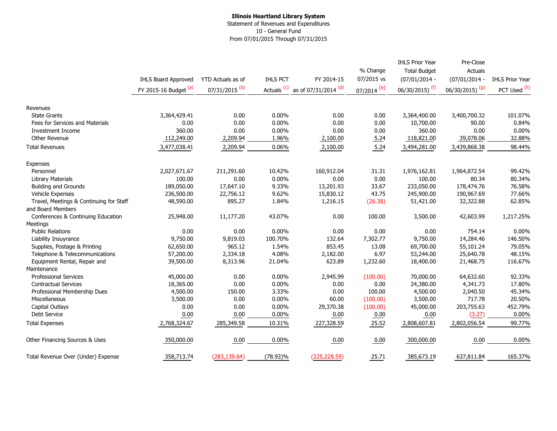### **Illinois Heartland Library System** Statement of Revenues and Expenditures 10 - General Fund From 07/01/2015 Through 07/31/2015

|                                         |                       |                           |                        |                      | % Change              | <b>IHLS Prior Year</b><br><b>Total Budget</b> | Pre-Close<br>Actuals       |                        |
|-----------------------------------------|-----------------------|---------------------------|------------------------|----------------------|-----------------------|-----------------------------------------------|----------------------------|------------------------|
|                                         | IHLS Board Approved   | YTD Actuals as of         | <b>IHLS PCT</b>        | FY 2014-15           | 07/2015 vs            | $(07/01/2014 -$                               | $(07/01/2014 -$            | <b>IHLS Prior Year</b> |
|                                         | FY 2015-16 Budget (a) | 07/31/2015 <sup>(b)</sup> | Actuals <sup>(c)</sup> | as of 07/31/2014 (d) | $\frac{07}{2014}$ (e) | 06/30/2015) <sup>(f)</sup>                    | 06/30/2015) <sup>(g)</sup> | PCT Used (h)           |
|                                         |                       |                           |                        |                      |                       |                                               |                            |                        |
| Revenues                                |                       |                           |                        |                      |                       |                                               |                            |                        |
| <b>State Grants</b>                     | 3,364,429.41          | 0.00                      | $0.00\%$               | 0.00                 | 0.00                  | 3,364,400.00                                  | 3,400,700.32               | 101.07%                |
| Fees for Services and Materials         | 0.00                  | 0.00                      | $0.00\%$               | 0.00                 | 0.00                  | 10,700.00                                     | 90.00                      | 0.84%                  |
| <b>Investment Income</b>                | 360.00                | 0.00                      | 0.00%                  | 0.00                 | 0.00                  | 360.00                                        | 0.00                       | 0.00%                  |
| Other Revenue                           | 112,249.00            | 2,209.94                  | 1.96%                  | 2,100.00             | 5.24                  | 118,821.00                                    | 39,078.06                  | 32.88%                 |
| <b>Total Revenues</b>                   | 3,477,038.41          | 2,209.94                  | 0.06%                  | 2,100.00             | 5.24                  | 3,494,281.00                                  | 3,439,868.38               | 98.44%                 |
| Expenses                                |                       |                           |                        |                      |                       |                                               |                            |                        |
| Personnel                               | 2,027,671.67          | 211,291.60                | 10.42%                 | 160,912.04           | 31.31                 | 1,976,162.81                                  | 1,964,872.54               | 99.42%                 |
| <b>Library Materials</b>                | 100.00                | 0.00                      | $0.00\%$               | 0.00                 | 0.00                  | 100.00                                        | 80.34                      | 80.34%                 |
| <b>Building and Grounds</b>             | 189,050.00            | 17,647.10                 | 9.33%                  | 13,201.93            | 33.67                 | 233,050.00                                    | 178,474.76                 | 76.58%                 |
| <b>Vehicle Expenses</b>                 | 236,500.00            | 22,756.12                 | 9.62%                  | 15,830.12            | 43.75                 | 245,900.00                                    | 190,967.69                 | 77.66%                 |
| Travel, Meetings & Continuing for Staff | 48,590.00             | 895.27                    | 1.84%                  | 1,216.15             | (26.38)               | 51,421.00                                     | 32,322.88                  | 62.85%                 |
| and Board Members                       |                       |                           |                        |                      |                       |                                               |                            |                        |
| Conferences & Continuing Education      | 25,948.00             | 11,177.20                 | 43.07%                 | 0.00                 | 100.00                | 3,500.00                                      | 42,603.99                  | 1,217.25%              |
| Meetings                                |                       |                           |                        |                      |                       |                                               |                            |                        |
| <b>Public Relations</b>                 | 0.00                  | 0.00                      | 0.00%                  | 0.00                 | 0.00                  | 0.00                                          | 754.14                     | 0.00%                  |
| Liability Insuyrance                    | 9,750.00              | 9,819.03                  | 100.70%                | 132.64               | 7,302.77              | 9,750.00                                      | 14,284.46                  | 146.50%                |
| Supplies, Postage & Printing            | 62,650.00             | 965.12                    | 1.54%                  | 853.45               | 13.08                 | 69,700.00                                     | 55,101.24                  | 79.05%                 |
| Telephone & Telecommunications          | 57,200.00             | 2,334.18                  | 4.08%                  | 2,182.00             | 6.97                  | 53,244.00                                     | 25,640.78                  | 48.15%                 |
| Equipment Rental, Repair and            | 39,500.00             | 8,313.96                  | 21.04%                 | 623.89               | 1,232.60              | 18,400.00                                     | 21,468.75                  | 116.67%                |
| Maintenance                             |                       |                           |                        |                      |                       |                                               |                            |                        |
| <b>Professional Services</b>            | 45,000.00             | 0.00                      | 0.00%                  | 2,945.99             | (100.00)              | 70,000.00                                     | 64,632.60                  | 92.33%                 |
| <b>Contractual Services</b>             | 18,365.00             | 0.00                      | $0.00\%$               | 0.00                 | 0.00                  | 24,380.00                                     | 4,341.73                   | 17.80%                 |
| Professional Membership Dues            | 4,500.00              | 150.00                    | 3.33%                  | 0.00                 | 100.00                | 4,500.00                                      | 2,040.50                   | 45.34%                 |
| Miscellaneous                           | 3,500.00              | 0.00                      | $0.00\%$               | 60.00                | (100.00)              | 3,500.00                                      | 717.78                     | 20.50%                 |
| Capital Outlays                         | 0.00                  | 0.00                      | 0.00%                  | 29,370.38            | (100.00)              | 45,000.00                                     | 203,755.63                 | 452.79%                |
| <b>Debt Service</b>                     | 0.00                  | 0.00                      | $0.00\%$               | 0.00                 | 0.00                  | 0.00                                          | (3.27)                     | 0.00%                  |
| <b>Total Expenses</b>                   | 2,768,324.67          | 285,349.58                | 10.31%                 | 227,328.59           | 25.52                 | 2,808,607.81                                  | 2,802,056.54               | 99.77%                 |
| Other Financing Sources & Uses          | 350,000.00            | 0.00                      | $0.00\%$               | 0.00                 | 0.00                  | 300,000.00                                    | 0.00                       | 0.00%                  |
| Total Revenue Over (Under) Expense      | 358,713.74            | (283, 139.64)             | $(78.93)\%$            | (225, 228.59)        | 25.71                 | 385,673.19                                    | 637,811.84                 | 165.37%                |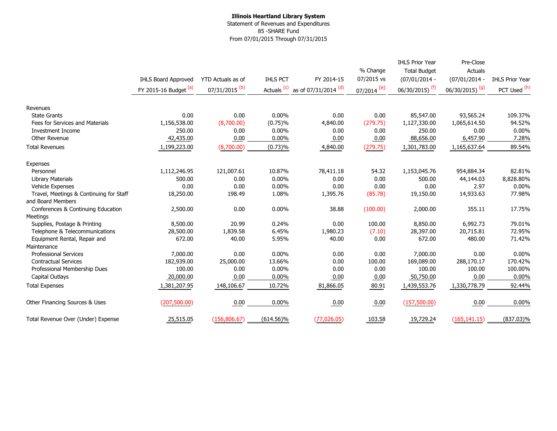### **Illinois Heartland Library System** Statement of Revenues and Expenditures 85 -SHARE Fund From 07/01/2015 Through 07/31/2015

|                                         |                       |                           |                        |                                 |                     | <b>IHLS Prior Year</b>     | Pre-Close                  |                        |
|-----------------------------------------|-----------------------|---------------------------|------------------------|---------------------------------|---------------------|----------------------------|----------------------------|------------------------|
|                                         |                       |                           |                        |                                 | % Change            | <b>Total Budget</b>        | Actuals                    |                        |
|                                         | IHLS Board Approved   | YTD Actuals as of         | <b>IHLS PCT</b>        | FY 2014-15                      | 07/2015 vs          | $(07/01/2014 -$            | $(07/01/2014 -$            | <b>IHLS Prior Year</b> |
|                                         | FY 2015-16 Budget (a) | 07/31/2015 <sup>(b)</sup> | Actuals <sup>(c)</sup> | as of 07/31/2014 <sup>(d)</sup> | $\frac{07/2014}{e}$ | 06/30/2015) <sup>(f)</sup> | 06/30/2015) <sup>(g)</sup> | PCT Used (h)           |
| Revenues                                |                       |                           |                        |                                 |                     |                            |                            |                        |
| <b>State Grants</b>                     | 0.00                  | 0.00                      | $0.00\%$               | 0.00                            | 0.00                | 85,547.00                  | 93,565.24                  | 109.37%                |
| Fees for Services and Materials         | 1,156,538.00          | (8,700.00)                | $(0.75)\%$             | 4,840.00                        | (279.75)            | 1,127,330.00               | 1,065,614.50               | 94.52%                 |
| <b>Investment Income</b>                | 250.00                | 0.00                      | 0.00%                  | 0.00                            | 0.00                | 250.00                     | 0.00                       | $0.00\%$               |
| Other Revenue                           | 42,435.00             | 0.00                      | 0.00%                  | 0.00                            | 0.00                | 88,656.00                  | 6,457.90                   | 7.28%                  |
| <b>Total Revenues</b>                   | 1,199,223.00          | (8,700.00)                | (0.73)%                | 4,840.00                        | (279.75)            | 1,301,783.00               | 1,165,637.64               | 89.54%                 |
| Expenses                                |                       |                           |                        |                                 |                     |                            |                            |                        |
| Personnel                               | 1,112,246.95          | 121,007.61                | 10.87%                 | 78,411.18                       | 54.32               | 1,153,045.76               | 954,884.34                 | 82.81%                 |
| <b>Library Materials</b>                | 500.00                | 0.00                      | $0.00\%$               | 0.00                            | 0.00                | 500.00                     | 44,144.03                  | 8,828.80%              |
| <b>Vehicle Expenses</b>                 | 0.00                  | 0.00                      | $0.00\%$               | 0.00                            | 0.00                | 0.00                       | 2.97                       | $0.00\%$               |
| Travel, Meetings & Continuing for Staff | 18,250.00             | 198.49                    | 1.08%                  | 1,395.76                        | (85.78)             | 19,150.00                  | 14,933.63                  | 77.98%                 |
| and Board Members                       |                       |                           |                        |                                 |                     |                            |                            |                        |
| Conferences & Continuing Education      | 2,500.00              | 0.00                      | 0.00%                  | 38.88                           | (100.00)            | 2,000.00                   | 355.11                     | 17.75%                 |
| Meetings                                |                       |                           |                        |                                 |                     |                            |                            |                        |
| Supplies, Postage & Printing            | 8,500.00              | 20.99                     | 0.24%                  | 0.00                            | 100.00              | 8,850.00                   | 6,992.73                   | 79.01%                 |
| Telephone & Telecommunications          | 28,500.00             | 1,839.58                  | 6.45%                  | 1,980.23                        | (7.10)              | 28,397.00                  | 20,715.81                  | 72.95%                 |
| Equipment Rental, Repair and            | 672.00                | 40.00                     | 5.95%                  | 40.00                           | 0.00                | 672.00                     | 480.00                     | 71.42%                 |
| Maintenance                             |                       |                           |                        |                                 |                     |                            |                            |                        |
| <b>Professional Services</b>            | 7,000.00              | 0.00                      | 0.00%                  | 0.00                            | 0.00                | 7,000.00                   | 0.00                       | $0.00\%$               |
| <b>Contractual Services</b>             | 182,939.00            | 25,000.00                 | 13.66%                 | 0.00                            | 100.00              | 169,089.00                 | 288,170.17                 | 170.42%                |
| Professional Membership Dues            | 100.00                | 0.00                      | 0.00%                  | 0.00                            | 0.00                | 100.00                     | 100.00                     | 100.00%                |
| Capital Outlays                         | 20,000.00             | 0.00                      | 0.00%                  | 0.00                            | 0.00                | 50,750.00                  | 0.00                       | 0.00%                  |
| <b>Total Expenses</b>                   | 1,381,207.95          | 148,106.67                | 10.72%                 | 81,866.05                       | 80.91               | 1,439,553.76               | 1,330,778.79               | 92.44%                 |
| Other Financing Sources & Uses          | (207, 500.00)         | 0.00                      | 0.00%                  | 0.00                            | 0.00                | (157,500.00)               | 0.00                       | $0.00\%$               |
| Total Revenue Over (Under) Expense      | 25,515.05             | (156,806.67)              | $(614.56)\%$           | (77,026.05)                     | 103.58              | 19,729.24                  | (165, 141.15)              | $(837.03)\%$           |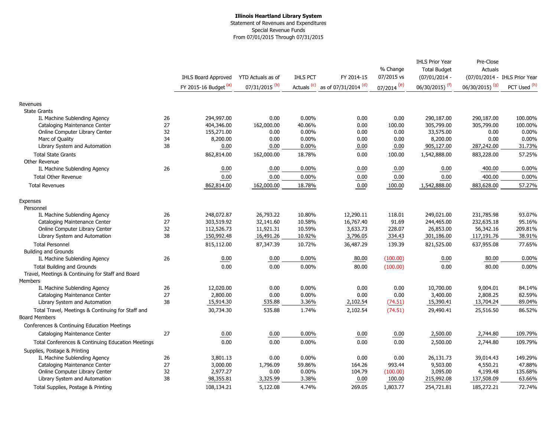### **Illinois Heartland Library System** Statement of Revenues and Expenditures Special Revenue Funds From 07/01/2015 Through 07/31/2015

|                                                                           |    |                            |                           |                        |                                 |                          | <b>IHLS Prior Year</b>     | Pre-Close                     |              |
|---------------------------------------------------------------------------|----|----------------------------|---------------------------|------------------------|---------------------------------|--------------------------|----------------------------|-------------------------------|--------------|
|                                                                           |    |                            |                           |                        |                                 | % Change                 | <b>Total Budget</b>        | <b>Actuals</b>                |              |
|                                                                           |    | <b>IHLS Board Approved</b> | <b>YTD Actuals as of</b>  | <b>IHLS PCT</b>        | FY 2014-15                      | 07/2015 vs               | $(07/01/2014 -$            | (07/01/2014 - IHLS Prior Year |              |
|                                                                           |    | FY 2015-16 Budget (a)      | 07/31/2015 <sup>(b)</sup> | Actuals <sup>(c)</sup> | as of 07/31/2014 <sup>(d)</sup> | $07/2014$ <sup>(e)</sup> | 06/30/2015) <sup>(f)</sup> | 06/30/2015) <sup>(g)</sup>    | PCT Used (h) |
| Revenues                                                                  |    |                            |                           |                        |                                 |                          |                            |                               |              |
| <b>State Grants</b>                                                       |    |                            |                           |                        |                                 |                          |                            |                               |              |
| IL Machine Sublending Agency                                              | 26 | 294,997.00                 | 0.00                      | 0.00%                  | 0.00                            | 0.00                     | 290,187.00                 | 290,187.00                    | 100.00%      |
| Cataloging Maintenance Center                                             | 27 | 404,346.00                 | 162,000.00                | 40.06%                 | 0.00                            | 100.00                   | 305,799.00                 | 305,799.00                    | 100.00%      |
| Online Computer Library Center                                            | 32 | 155,271.00                 | 0.00                      | 0.00%                  | 0.00                            | 0.00                     | 33,575.00                  | 0.00                          | 0.00%        |
| Marc of Quality                                                           | 34 | 8,200.00                   | 0.00                      | 0.00%                  | 0.00                            | 0.00                     | 8,200.00                   | 0.00                          | 0.00%        |
| Library System and Automation                                             | 38 | 0.00                       | 0.00                      | 0.00%                  | 0.00                            | 0.00                     | 905,127.00                 | 287,242.00                    | 31.73%       |
| <b>Total State Grants</b>                                                 |    | 862,814.00                 | 162,000.00                | 18.78%                 | 0.00                            | 100.00                   | 1,542,888.00               | 883,228.00                    | 57.25%       |
| Other Revenue                                                             |    |                            |                           |                        |                                 |                          |                            |                               |              |
| IL Machine Sublending Agency                                              | 26 | 0.00                       | 0.00                      | 0.00%                  | 0.00                            | 0.00                     | 0.00                       | 400.00                        | 0.00%        |
| <b>Total Other Revenue</b>                                                |    | 0.00                       | 0.00                      | $0.00\%$               | 0.00                            | 0.00                     | 0.00                       | 400.00                        | 0.00%        |
| <b>Total Revenues</b>                                                     |    | 862,814.00                 | 162,000.00                | 18.78%                 | 0.00                            | 100.00                   | 1,542,888.00               | 883,628.00                    | 57.27%       |
| Expenses                                                                  |    |                            |                           |                        |                                 |                          |                            |                               |              |
| Personnel                                                                 |    |                            |                           |                        |                                 |                          |                            |                               |              |
| IL Machine Sublending Agency                                              | 26 | 248,072.87                 | 26,793.22                 | 10.80%                 | 12,290.11                       | 118.01                   | 249,021.00                 | 231,785.98                    | 93.07%       |
| Cataloging Maintenance Center                                             | 27 | 303,519.92                 | 32,141.60                 | 10.58%                 | 16,767.40                       | 91.69                    | 244,465.00                 | 232,635.18                    | 95.16%       |
| Online Computer Library Center                                            | 32 | 112,526.73                 | 11,921.31                 | 10.59%                 | 3,633.73                        | 228.07                   | 26,853.00                  | 56,342.16                     | 209.81%      |
| Library System and Automation                                             | 38 | 150,992.48                 | 16,491.26                 | 10.92%                 | 3,796.05                        | 334.43                   | 301,186.00                 | 117,191.76                    | 38.91%       |
| <b>Total Personnel</b>                                                    |    | 815,112.00                 | 87,347.39                 | 10.72%                 | 36,487.29                       | 139.39                   | 821,525.00                 | 637,955.08                    | 77.65%       |
| <b>Building and Grounds</b>                                               |    |                            |                           |                        |                                 |                          |                            |                               |              |
| IL Machine Sublending Agency                                              | 26 | 0.00                       | 0.00                      | 0.00%                  | 80.00                           | (100.00)                 | 0.00                       | 80.00                         | 0.00%        |
| <b>Total Building and Grounds</b>                                         |    | 0.00                       | 0.00                      | 0.00%                  | 80.00                           | (100.00)                 | 0.00                       | 80.00                         | 0.00%        |
| Travel, Meetings & Continuing for Staff and Board                         |    |                            |                           |                        |                                 |                          |                            |                               |              |
| Members                                                                   |    |                            |                           |                        |                                 |                          |                            |                               |              |
| IL Machine Sublending Agency                                              | 26 | 12,020.00                  | 0.00                      | $0.00\%$               | 0.00                            | 0.00                     | 10,700.00                  | 9,004.01                      | 84.14%       |
| Cataloging Maintenance Center                                             | 27 | 2,800.00                   | 0.00                      | 0.00%                  | 0.00                            | 0.00                     | 3,400.00                   | 2,808.25                      | 82.59%       |
| Library System and Automation                                             | 38 | 15,914.30                  | 535.88                    | 3.36%                  | 2,102.54                        | (74.51)                  | 15,390.41                  | 13,704.24                     | 89.04%       |
| Total Travel, Meetings & Continuing for Staff and<br><b>Board Members</b> |    | 30,734.30                  | 535.88                    | 1.74%                  | 2,102.54                        | (74.51)                  | 29,490.41                  | 25,516.50                     | 86.52%       |
| Conferences & Continuing Education Meetings                               |    |                            |                           |                        |                                 |                          |                            |                               |              |
| Cataloging Maintenance Center                                             | 27 | 0.00                       | 0.00                      | 0.00%                  | 0.00                            | 0.00                     | 2,500.00                   | 2,744.80                      | 109.79%      |
|                                                                           |    |                            |                           |                        |                                 |                          |                            |                               |              |
| Total Conferences & Continuing Education Meetings                         |    | 0.00                       | 0.00                      | 0.00%                  | 0.00                            | 0.00                     | 2,500.00                   | 2,744.80                      | 109.79%      |
| Supplies, Postage & Printing                                              |    |                            |                           |                        |                                 |                          |                            |                               |              |
| IL Machine Sublending Agency                                              | 26 | 3,801.13                   | 0.00                      | 0.00%                  | 0.00                            | 0.00                     | 26,131.73                  | 39,014.43                     | 149.29%      |
| Cataloging Maintenance Center                                             | 27 | 3,000.00                   | 1,796.09                  | 59.86%                 | 164.26                          | 993.44                   | 9,503.00                   | 4,550.21                      | 47.88%       |
| Online Computer Library Center                                            | 32 | 2,977.27                   | 0.00                      | $0.00\%$               | 104.79                          | (100.00)                 | 3,095.00                   | 4,199.48                      | 135.68%      |
| Library System and Automation                                             | 38 | 98,355.81                  | 3,325.99                  | 3.38%                  | 0.00                            | 100.00                   | 215,992.08                 | 137,508.09                    | 63.66%       |
| Total Supplies, Postage & Printing                                        |    | 108,134.21                 | 5,122.08                  | 4.74%                  | 269.05                          | 1,803.77                 | 254,721.81                 | 185,272.21                    | 72.74%       |